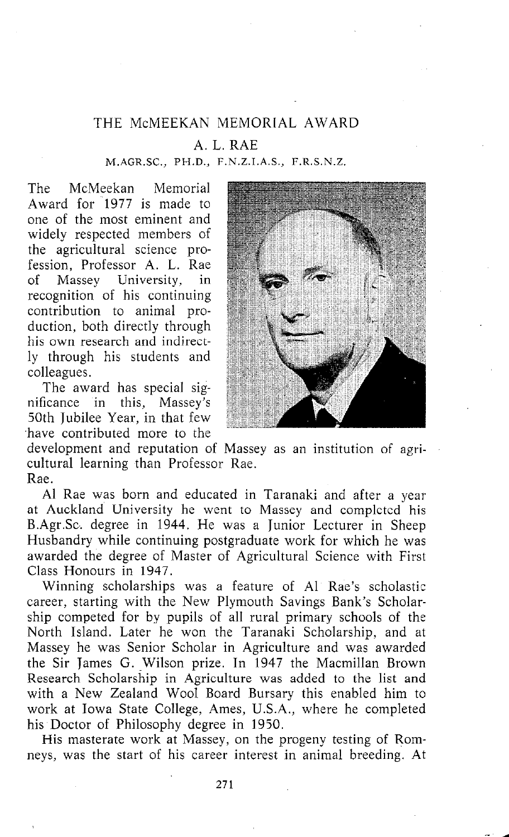## THE McMEEKAN MEMORIAL AWARD

### A. L. RAE

### M.AGR.SC., PH.D., F.N.Z.I.A.S.. F.R.S.N.Z.

The McMeekan Memorial Award for 1977 is made to one of the most eminent and widely respected members of the agricultural science profession, Professor A. L. Rae of Massey University, in recognition of his continuing contribution to animal production, both directly through his own research and indirectly through his students and colleagues.

The award has special significance in this, Massey's 50th Jubilee Year, in that few have contributed more to the



development and reputation of Massey as an institution of agri development and reputation of Mass.<br>cultural learning than Professor Rae. Rae.

Al Rae was born and educated in Taranaki and after a **year**  at Auckland University he went to Massey and completed his B.Agr.Sc. degree in 1944. He was a Junior Lecturer in Sheep Husbandry while continuing postgraduate work for which he was awarded the degree of Master of Agricultural Science with First Class Honours in 1947.

Winning scholarships was a feature of Al Rae's scholastic career, starting with the New Plymouth Savings Bank's Scholarship competed for by pupils of all rural primary schools of the North Island. Later he won the Taranaki Scholarship, and at Massey he was Senior Scholar in Agriculture and was awarded the Sir James G. Wilson prize. In 1947 the Macmillan Brown Research Scholarship in Agriculture was added to the list and with a New Zealand Wool Board Bursary this enabled him to work at Iowa State College, Ames, U.S.A., where he completed his Doctor of Philosophy degree in 1950.

His masterate work at Massey, on the progeny testing of Romneys, was the start of his career interest in animal breeding. At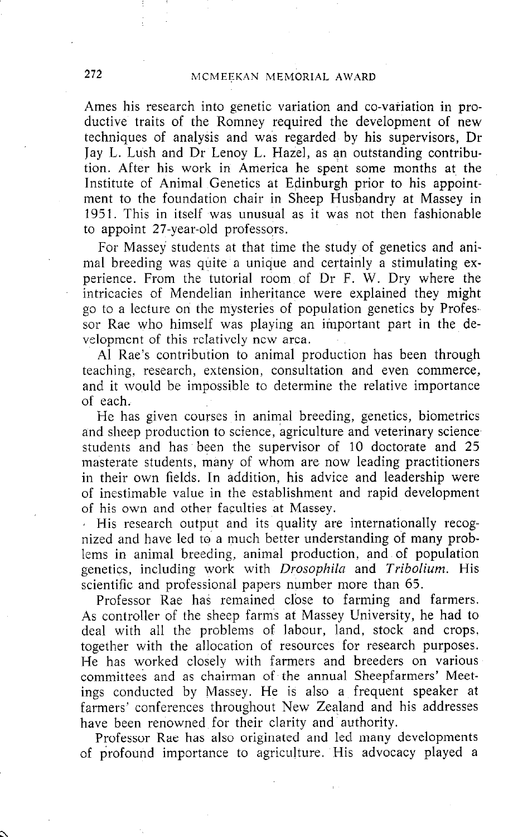# 272 MCMEEKAN MEMORIAL AWARD

Ames his research into genetic variation and co-variation in productive traits of the Romney required the development of new techniques of analysis and was regarded by his supervisors, Dr Jay L. Lush and Dr Lenoy L. Hazel, as an outstanding contribution. After his work in America he spent some months at the Institute of Animal Genetics at Edinburgh prior to his appointment to the foundation chair in Sheep Husbandry at Massey in 1951. This in itself was unusual as it was not then fashionable to appoint 27-year-old professors.

For Massey students at that time the study of genetics and animal breeding was quite a unique and certainly a stimulating experience. From the tutorial room of Dr F. W. Dry where the intricacies of Mendelian inheritance were explained they might go to a lecture on the mysteries of population genetics by Professor Rae who himself was playing an important part in the development of this relatively new area.

Al Rae's contribution to animal production has been through teaching, research, extension, consultation and even commerce, and it would be impossible to determine the relative importance of each.

He has given courses in animal breeding, genetics, biometrics and sheep production to science, agriculture and veterinary science. students and has been the supervisor of 10 doctorate and 25 masterate students, many of whom are now leading practitioners in their own fields. In addition, his advice and leadership were of inestimable value in the establishment and rapid development of his own and other faculties at Massey.

His research output and its quality are internationally recognized and have led to a much better understanding of many problems in animal breeding, animal production, and of population genetics, including work with *Drosophila* and *Tribolium.* His scientific and professional papers number more than 65.

Professor Rae has remained close to farming and farmers. As controller of the sheep farms at Massey University, he had to deal with all the problems of labour, land, stock and crops, together with the allocation of resources for research purposes. He has worked closely with farmers and breeders on various committees and as chairman of the annual Sheepfarmers' Meetings conducted by Massey. He is also a frequent speaker at farmers' conferences throughout New Zealand and his addresses have been renowned for their clarity and authority.

Professor Rae has also originated and led many developments of profound importance to agriculture. His advocacy played a